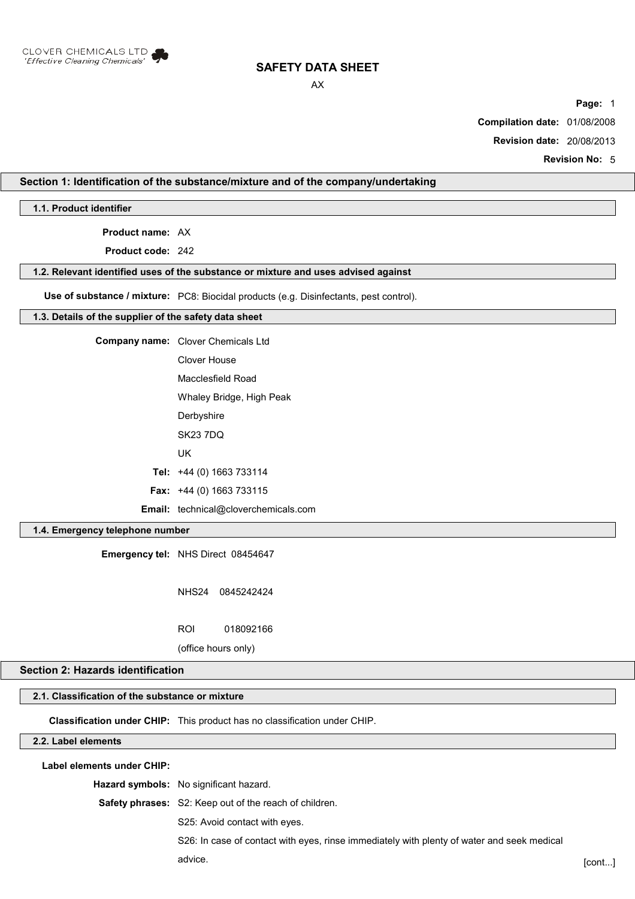

AX

**Page:** 1

**Compilation date:** 01/08/2008

**Revision date:** 20/08/2013

**Revision No:** 5

# **Section 1: Identification of the substance/mixture and of the company/undertaking**

**1.1. Product identifier**

**Product name:** AX

**Product code:** 242

#### **1.2. Relevant identified uses of the substance or mixture and uses advised against**

**Use of substance / mixture:** PC8: Biocidal products (e.g. Disinfectants, pest control).

#### **1.3. Details of the supplier of the safety data sheet**

**Company name:** Clover Chemicals Ltd Clover House Macclesfield Road

Whaley Bridge, High Peak

**Derbyshire** SK23 7DQ

UK

**Tel:** +44 (0) 1663 733114

**Fax:** +44 (0) 1663 733115

**Email:** technical@cloverchemicals.com

# **1.4. Emergency telephone number**

**Emergency tel:** NHS Direct 08454647

NHS24 0845242424

ROI 018092166

(office hours only)

## **Section 2: Hazards identification**

# **2.1. Classification of the substance or mixture**

**Classification under CHIP:** This product has no classification under CHIP.

# **2.2. Label elements**

**Label elements under CHIP:**

**Hazard symbols:** No significant hazard.

**Safety phrases:** S2: Keep out of the reach of children.

S25: Avoid contact with eyes.

S26: In case of contact with eyes, rinse immediately with plenty of water and seek medical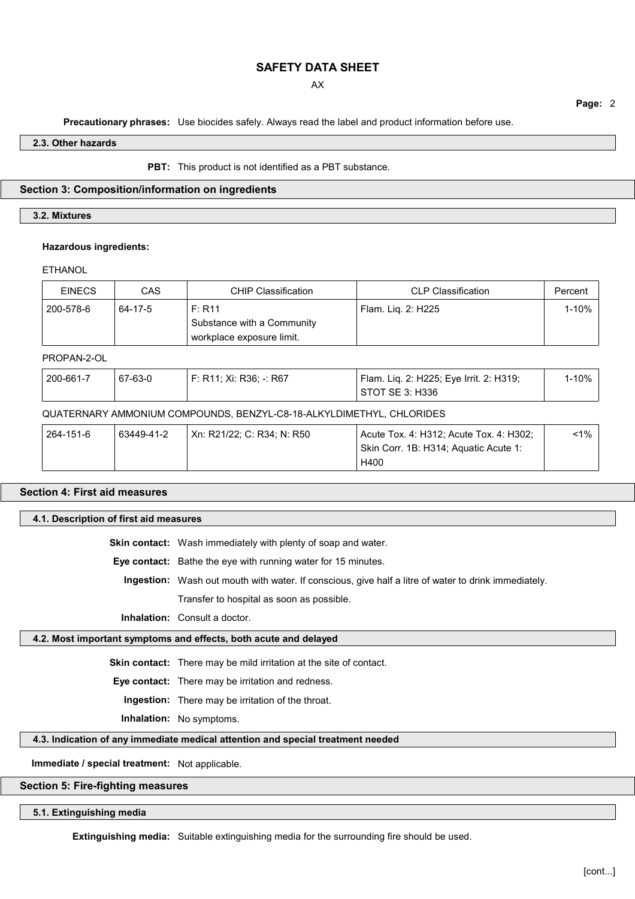AX

**Page:** 2

**Precautionary phrases:** Use biocides safely. Always read the label and product information before use.

**2.3. Other hazards**

**PBT:** This product is not identified as a PBT substance.

# **Section 3: Composition/information on ingredients**

# **3.2. Mixtures**

#### **Hazardous ingredients:**

## **ETHANOL**

| <b>EINECS</b> | <b>CAS</b> | <b>CHIP Classification</b>                                        | <b>CLP Classification</b>               | Percent   |
|---------------|------------|-------------------------------------------------------------------|-----------------------------------------|-----------|
| 200-578-6     | 64-17-5    | F: R11<br>Substance with a Community<br>workplace exposure limit. | Flam. Lig. 2: H225                      | $1 - 10%$ |
| PROPAN-2-OL   |            |                                                                   |                                         |           |
| 200-661-7     | 67-63-0    | $F: R11; Xi: R36; -: R67$                                         | Flam. Liq. 2: H225; Eye Irrit. 2: H319; | $1 - 10%$ |

| 200-661-7                                                            | 67-63-0    | F: R11; Xi: R36; -: R67    | Flam. Liq. 2: H225; Eye Irrit. 2: H319;<br>STOT SE 3: H336                               | $1 - 10%$ |  |
|----------------------------------------------------------------------|------------|----------------------------|------------------------------------------------------------------------------------------|-----------|--|
| QUATERNARY AMMONIUM COMPOUNDS, BENZYL-C8-18-ALKYLDIMETHYL, CHLORIDES |            |                            |                                                                                          |           |  |
| 264-151-6                                                            | 63449-41-2 | Xn: R21/22; C: R34; N: R50 | Acute Tox. 4: H312; Acute Tox. 4: H302;<br>Skin Corr. 1B: H314; Aquatic Acute 1:<br>H400 | $< 1\%$   |  |

# **Section 4: First aid measures**

## **4.1. Description of first aid measures**

**Skin contact:** Wash immediately with plenty of soap and water.

**Eye contact:** Bathe the eye with running water for 15 minutes.

**Ingestion:** Wash out mouth with water. If conscious, give half a litre of water to drink immediately.

Transfer to hospital as soon as possible.

**Inhalation:** Consult a doctor.

## **4.2. Most important symptoms and effects, both acute and delayed**

**Skin contact:** There may be mild irritation at the site of contact.

**Eye contact:** There may be irritation and redness.

**Ingestion:** There may be irritation of the throat.

**Inhalation:** No symptoms.

#### **4.3. Indication of any immediate medical attention and special treatment needed**

**Immediate / special treatment:** Not applicable.

#### **Section 5: Fire-fighting measures**

# **5.1. Extinguishing media**

**Extinguishing media:** Suitable extinguishing media for the surrounding fire should be used.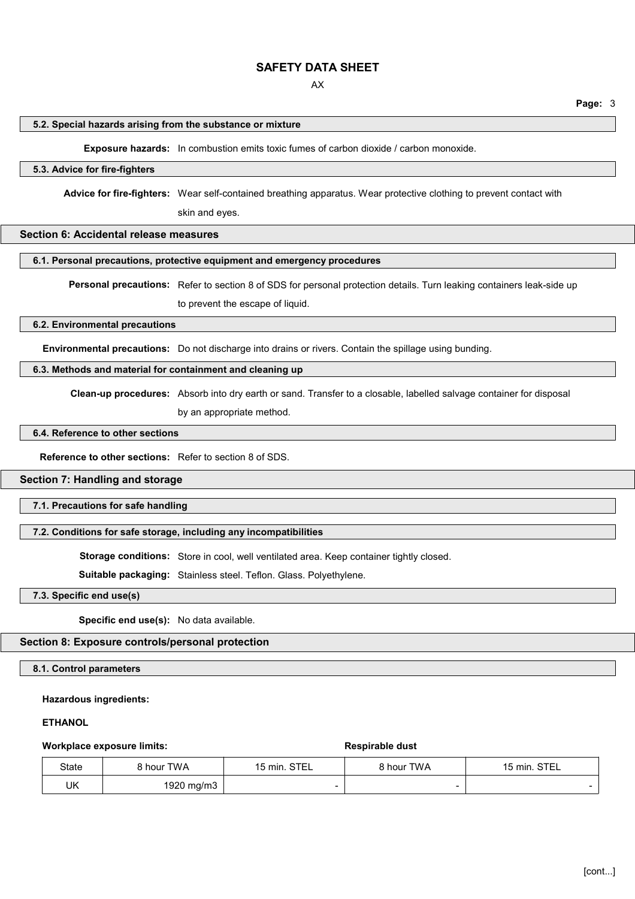AX

# **Page:** 3

#### **5.2. Special hazards arising from the substance or mixture**

**Exposure hazards:** In combustion emits toxic fumes of carbon dioxide / carbon monoxide.

# **5.3. Advice for fire-fighters**

**Advice for fire-fighters:** Wear self-contained breathing apparatus. Wear protective clothing to prevent contact with

skin and eyes.

## **Section 6: Accidental release measures**

#### **6.1. Personal precautions, protective equipment and emergency procedures**

**Personal precautions:** Refer to section 8 of SDS for personal protection details. Turn leaking containers leak-side up

to prevent the escape of liquid.

# **6.2. Environmental precautions**

**Environmental precautions:** Do not discharge into drains or rivers. Contain the spillage using bunding.

# **6.3. Methods and material for containment and cleaning up**

**Clean-up procedures:** Absorb into dry earth or sand. Transfer to a closable, labelled salvage container for disposal

by an appropriate method.

# **6.4. Reference to other sections**

**Reference to other sections:** Refer to section 8 of SDS.

# **Section 7: Handling and storage**

**7.1. Precautions for safe handling**

## **7.2. Conditions for safe storage, including any incompatibilities**

**Storage conditions:** Store in cool, well ventilated area. Keep container tightly closed.

**Suitable packaging:** Stainless steel. Teflon. Glass. Polyethylene.

**7.3. Specific end use(s)**

**Specific end use(s):** No data available.

# **Section 8: Exposure controls/personal protection**

**8.1. Control parameters**

**Hazardous ingredients:**

#### **ETHANOL**

#### **Workplace exposure limits:**  $\qquad \qquad$  **Respirable dust**

| State | 8 hour TWA | 15 min. STEL | 8 hour TWA | 15 min. STEL |  |
|-------|------------|--------------|------------|--------------|--|
| UK    | 1920 mg/m3 | -            |            |              |  |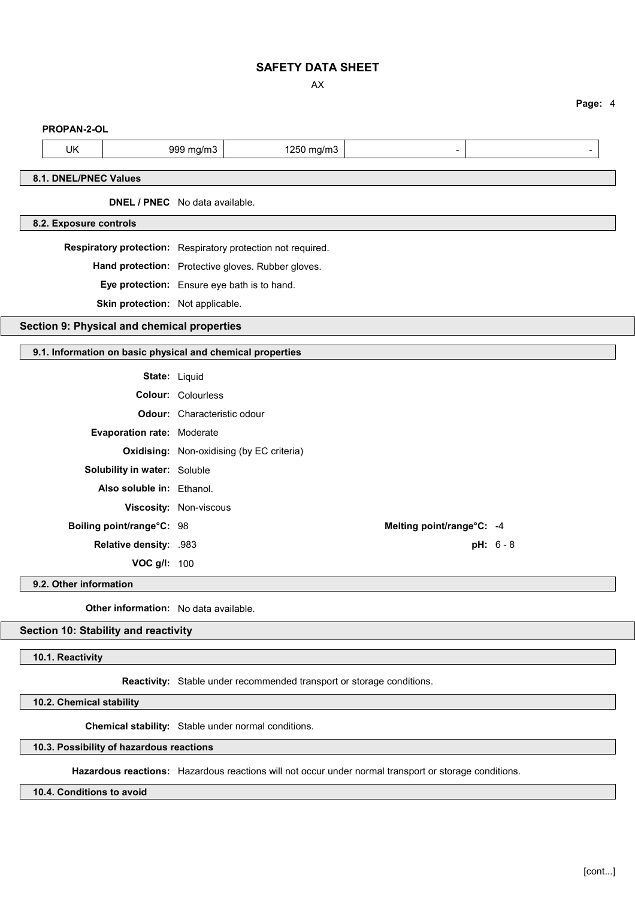AX

**Page:** 4

| PROPAN-2-OL            |                                                            |               |                                                              |                           |             |
|------------------------|------------------------------------------------------------|---------------|--------------------------------------------------------------|---------------------------|-------------|
| UK                     |                                                            | 999 mg/m3     | 1250 mg/m3                                                   | -                         |             |
| 8.1. DNEL/PNEC Values  |                                                            |               |                                                              |                           |             |
|                        | DNEL / PNEC No data available.                             |               |                                                              |                           |             |
| 8.2. Exposure controls |                                                            |               |                                                              |                           |             |
|                        |                                                            |               | Respiratory protection: Respiratory protection not required. |                           |             |
|                        |                                                            |               | Hand protection: Protective gloves. Rubber gloves.           |                           |             |
|                        |                                                            |               | Eye protection: Ensure eye bath is to hand.                  |                           |             |
|                        | Skin protection: Not applicable.                           |               |                                                              |                           |             |
|                        | Section 9: Physical and chemical properties                |               |                                                              |                           |             |
|                        |                                                            |               |                                                              |                           |             |
|                        | 9.1. Information on basic physical and chemical properties |               |                                                              |                           |             |
|                        |                                                            | State: Liquid |                                                              |                           |             |
|                        | <b>Colour: Colourless</b>                                  |               |                                                              |                           |             |
|                        | Odour: Characteristic odour                                |               |                                                              |                           |             |
|                        | Evaporation rate: Moderate                                 |               |                                                              |                           |             |
|                        |                                                            |               | <b>Oxidising:</b> Non-oxidising (by EC criteria)             |                           |             |
|                        | Solubility in water: Soluble                               |               |                                                              |                           |             |
|                        | Also soluble in: Ethanol.                                  |               |                                                              |                           |             |
|                        | Viscosity: Non-viscous                                     |               |                                                              |                           |             |
|                        | Boiling point/range°C: 98                                  |               |                                                              | Melting point/range°C: -4 |             |
|                        | Relative density: .983                                     |               |                                                              |                           | $pH: 6 - 8$ |
|                        | VOC g/l: 100                                               |               |                                                              |                           |             |
| 9.2. Other information |                                                            |               |                                                              |                           |             |
|                        | Ather information:    No data available                    |               |                                                              |                           |             |

**Other information:** No data available.

# **Section 10: Stability and reactivity**

**10.1. Reactivity**

**Reactivity:** Stable under recommended transport or storage conditions.

**10.2. Chemical stability**

**Chemical stability:** Stable under normal conditions.

**10.3. Possibility of hazardous reactions**

**Hazardous reactions:** Hazardous reactions will not occur under normal transport or storage conditions.

**10.4. Conditions to avoid**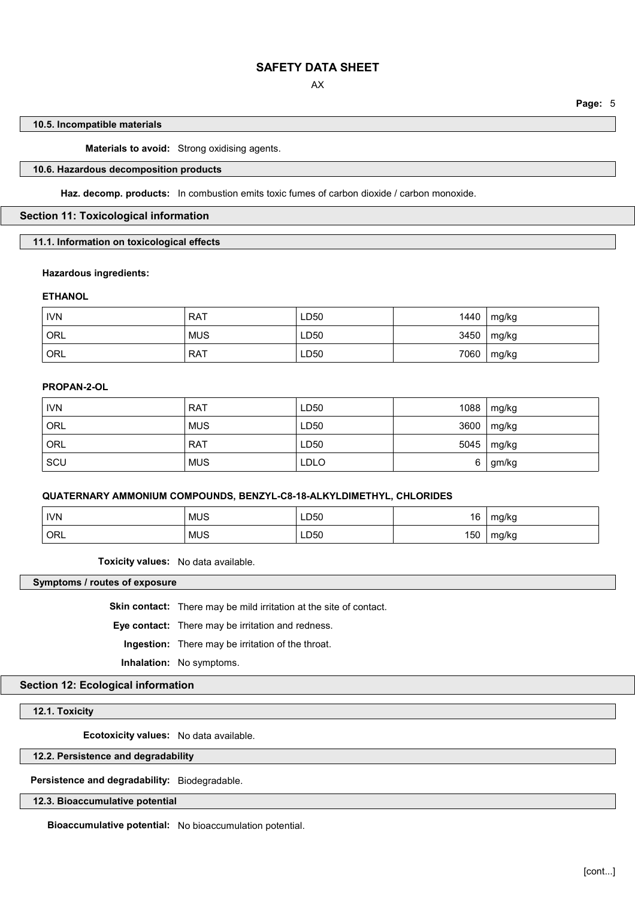**Page:** 5

#### **10.5. Incompatible materials**

**Materials to avoid:** Strong oxidising agents.

# **10.6. Hazardous decomposition products**

**Haz. decomp. products:** In combustion emits toxic fumes of carbon dioxide / carbon monoxide.

# **Section 11: Toxicological information**

## **11.1. Information on toxicological effects**

#### **Hazardous ingredients:**

#### **ETHANOL**

| <b>IVN</b> | <b>RAT</b> | LD50 | 1440 | mg/kg        |
|------------|------------|------|------|--------------|
| ORL        | <b>MUS</b> | LD50 |      | $3450$ mg/kg |
| ORL        | <b>RAT</b> | LD50 | 7060 | mg/kg        |

# **PROPAN-2-OL**

| <b>IVN</b> | <b>RAT</b> | LD50        | 1088 | mg/kg |
|------------|------------|-------------|------|-------|
| ORL        | <b>MUS</b> | LD50        | 3600 | mg/kg |
| ORL        | <b>RAT</b> | LD50        | 5045 | mg/kg |
| SCU        | <b>MUS</b> | <b>LDLO</b> | 6    | gm/kg |

# **QUATERNARY AMMONIUM COMPOUNDS, BENZYL-C8-18-ALKYLDIMETHYL, CHLORIDES**

| <b>IVN</b> | <b>MUS</b> | LD50<br>__   | 16  | $mn$ / $mn$<br>ี แหน |
|------------|------------|--------------|-----|----------------------|
| ORL        | <b>MUS</b> | LD50<br>$ -$ | 150 | mg/kg<br>ີ           |

**Toxicity values:** No data available.

**Symptoms / routes of exposure**

**Skin contact:** There may be mild irritation at the site of contact.

**Eye contact:** There may be irritation and redness.

**Ingestion:** There may be irritation of the throat.

**Inhalation:** No symptoms.

# **Section 12: Ecological information**

**12.1. Toxicity**

**Ecotoxicity values:** No data available.

#### **12.2. Persistence and degradability**

**Persistence and degradability:** Biodegradable.

**12.3. Bioaccumulative potential**

**Bioaccumulative potential:** No bioaccumulation potential.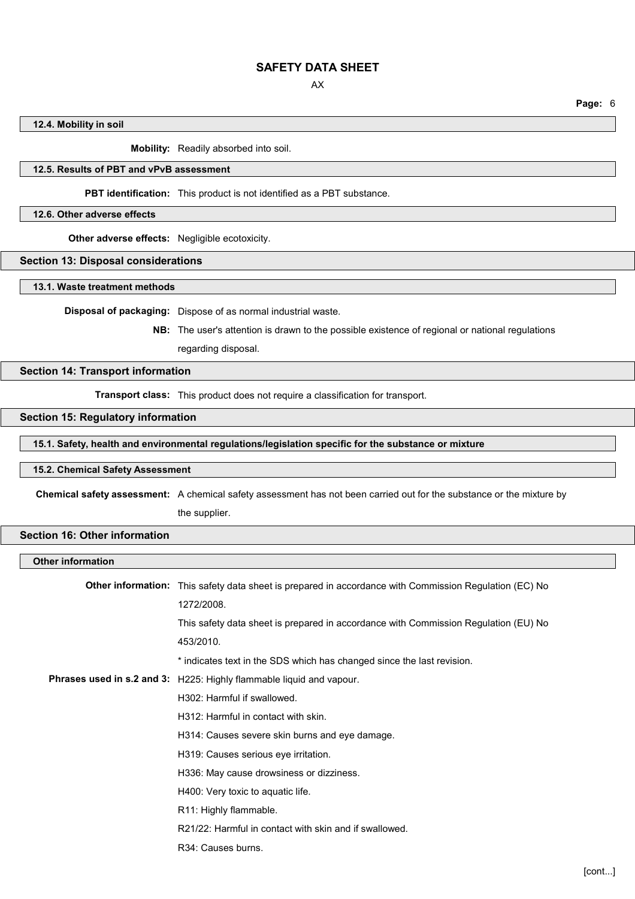AX

**Page:** 6

## **12.4. Mobility in soil**

**Mobility:** Readily absorbed into soil.

# **12.5. Results of PBT and vPvB assessment**

**PBT identification:** This product is not identified as a PBT substance.

# **12.6. Other adverse effects**

**Other adverse effects:** Negligible ecotoxicity.

#### **Section 13: Disposal considerations**

**13.1. Waste treatment methods**

**Disposal of packaging:** Dispose of as normal industrial waste.

**NB:** The user's attention is drawn to the possible existence of regional or national regulations regarding disposal.

# **Section 14: Transport information**

**Transport class:** This product does not require a classification for transport.

# **Section 15: Regulatory information**

**15.1. Safety, health and environmental regulations/legislation specific for the substance or mixture**

#### **15.2. Chemical Safety Assessment**

**Chemical safety assessment:** A chemical safety assessment has not been carried out for the substance or the mixture by

the supplier.

# **Section 16: Other information**

#### **Other information**

| <b>Other information:</b> This safety data sheet is prepared in accordance with Commission Regulation (EC) No |
|---------------------------------------------------------------------------------------------------------------|
| 1272/2008.                                                                                                    |
| This safety data sheet is prepared in accordance with Commission Regulation (EU) No                           |
| 453/2010.                                                                                                     |
| * indicates text in the SDS which has changed since the last revision.                                        |
| <b>Phrases used in s.2 and 3:</b> H225: Highly flammable liquid and vapour.                                   |
| H302: Harmful if swallowed.                                                                                   |
| H312: Harmful in contact with skin.                                                                           |
| H314: Causes severe skin burns and eye damage.                                                                |
| H319: Causes serious eye irritation.                                                                          |
| H336: May cause drowsiness or dizziness.                                                                      |
| H400: Very toxic to aquatic life.                                                                             |
| R11: Highly flammable.                                                                                        |
| R21/22: Harmful in contact with skin and if swallowed.                                                        |
| R34: Causes burns.                                                                                            |